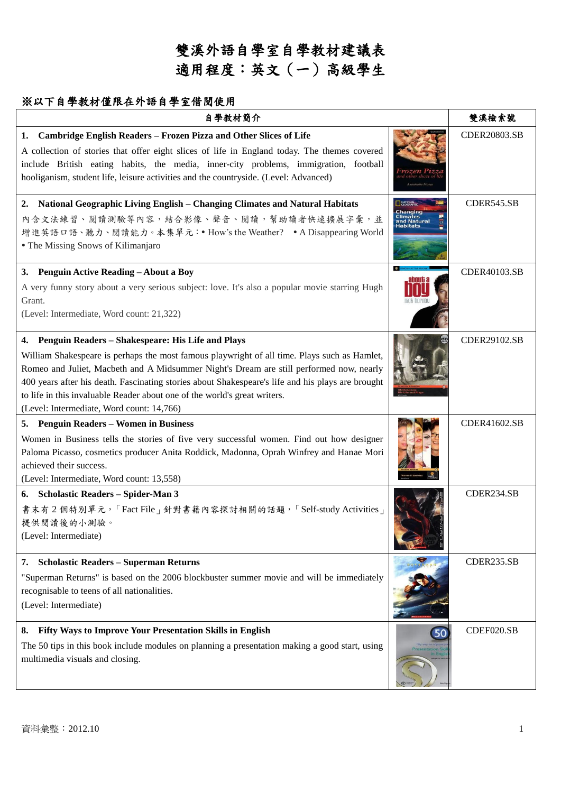### ※以下自學教材僅限在外語自學室借閱使用

| 自學教材簡介                                                                                                                                                                                                                                                                                                                                                                                                                                                                         |                                     | 雙溪檢索號        |
|--------------------------------------------------------------------------------------------------------------------------------------------------------------------------------------------------------------------------------------------------------------------------------------------------------------------------------------------------------------------------------------------------------------------------------------------------------------------------------|-------------------------------------|--------------|
| Cambridge English Readers - Frozen Pizza and Other Slices of Life<br>1.<br>A collection of stories that offer eight slices of life in England today. The themes covered<br>include British eating habits, the media, inner-city problems, immigration, football<br>hooliganism, student life, leisure activities and the countryside. (Level: Advanced)                                                                                                                        |                                     | CDER20803.SB |
| National Geographic Living English – Changing Climates and Natural Habitats<br>2.<br>內含文法練習、閱讀測驗等內容,結合影像、聲音、閱讀,幫助讀者快速擴展字彙,並<br>增進英語口語、聽力、閱讀能力。本集單元: • How's the Weather? • A Disappearing World<br>• The Missing Snows of Kilimanjaro                                                                                                                                                                                                                                          | Climates<br>and Natural<br>Habitats | CDER545.SB   |
| 3. Penguin Active Reading - About a Boy<br>A very funny story about a very serious subject: love. It's also a popular movie starring Hugh<br>Grant.<br>(Level: Intermediate, Word count: 21,322)                                                                                                                                                                                                                                                                               | 3 VUUU6                             | CDER40103.SB |
| 4. Penguin Readers - Shakespeare: His Life and Plays<br>William Shakespeare is perhaps the most famous playwright of all time. Plays such as Hamlet,<br>Romeo and Juliet, Macbeth and A Midsummer Night's Dream are still performed now, nearly<br>400 years after his death. Fascinating stories about Shakespeare's life and his plays are brought<br>to life in this invaluable Reader about one of the world's great writers.<br>(Level: Intermediate, Word count: 14,766) |                                     | CDER29102.SB |
| 5. Penguin Readers – Women in Business<br>Women in Business tells the stories of five very successful women. Find out how designer<br>Paloma Picasso, cosmetics producer Anita Roddick, Madonna, Oprah Winfrey and Hanae Mori<br>achieved their success.<br>(Level: Intermediate, Word count: 13,558)                                                                                                                                                                          |                                     | CDER41602.SB |
| 6. Scholastic Readers - Spider-Man 3<br>書末有2個特別單元,「Fact File」針對書籍內容探討相關的話題,「Self-study Activities」<br>提供閱讀後的小測驗。<br>(Level: Intermediate)                                                                                                                                                                                                                                                                                                                                      |                                     | CDER234.SB   |
| <b>Scholastic Readers - Superman Returns</b><br>7.<br>"Superman Returns" is based on the 2006 blockbuster summer movie and will be immediately<br>recognisable to teens of all nationalities.<br>(Level: Intermediate)                                                                                                                                                                                                                                                         |                                     | CDER235.SB   |
| Fifty Ways to Improve Your Presentation Skills in English<br>8.<br>The 50 tips in this book include modules on planning a presentation making a good start, using<br>multimedia visuals and closing.                                                                                                                                                                                                                                                                           | 50                                  | CDEF020.SB   |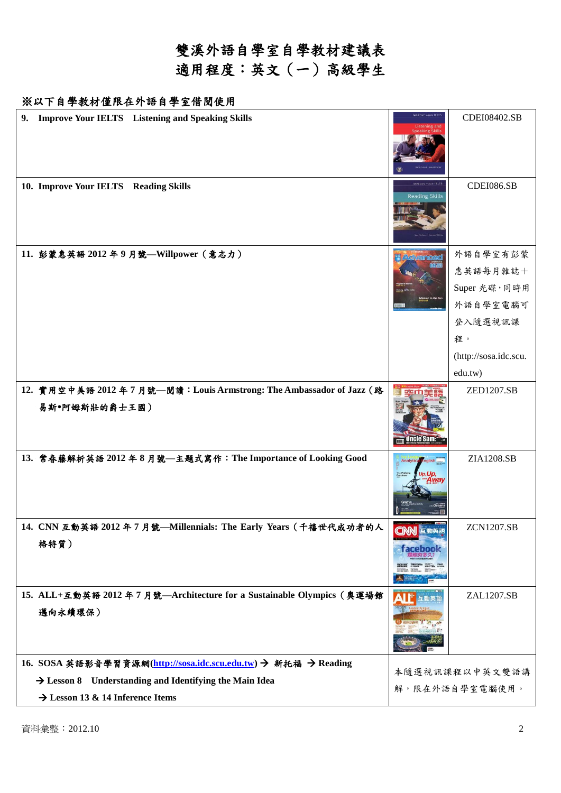## 雙溪外語自學室自學教材建議表 適用程度:英文(一)高級學生

#### ※以下自學教材僅限在外語自學室借閱使用

| <b>Improve Your IELTS</b> Listening and Speaking Skills<br>9.                                                                                                                        | MPROVE YOUR IELT                                  | CDEI08402.SB                                                                                          |
|--------------------------------------------------------------------------------------------------------------------------------------------------------------------------------------|---------------------------------------------------|-------------------------------------------------------------------------------------------------------|
| 10. Improve Your IELTS Reading Skills                                                                                                                                                | <b>MEROVE YOUR ILLTS</b><br><b>Reading Skills</b> | CDEI086.SB                                                                                            |
| 11. 彭蒙惠英語 2012年9月號—Willpower (意志力)                                                                                                                                                   | <b>Activan</b>                                    | 外語自學室有彭蒙<br>惠英語每月雜誌十<br>Super 光碟,同時用<br>外語自學室電腦可<br>登入隨選視訊課<br>程。<br>(http://sosa.idc.scu.<br>edu.tw) |
| 12. 實用空中美語 2012年7月號––閱讀: Louis Armstrong: The Ambassador of Jazz (路<br>易斯·阿姆斯壯的爵士王國)                                                                                                 | <b>Uncle Sam:</b>                                 | ZED1207.SB                                                                                            |
| 13. 常春藤解析英語 2012 年8月號—主題式寫作: The Importance of Looking Good                                                                                                                          | Analytica English<br>p.Up.                        | ZIA1208.SB                                                                                            |
| 14. CNN 互動英語 2012 年 7 月號—Millennials: The Early Years (千禧世代成功者的人<br>格特質)                                                                                                             |                                                   | <b>ZCN1207.SB</b>                                                                                     |
| 15. ALL+互動英語 2012年7月號--Architecture for a Sustainable Olympics (奧運場館<br>邁向永續環保)                                                                                                      | 互動英言                                              | ZAL1207.SB                                                                                            |
| 16. SOSA 英語影音學習資源網(http://sosa.idc.scu.edu.tw) → 新托福 → Reading<br>$\rightarrow$ Lesson 8 Understanding and Identifying the Main Idea<br>$\rightarrow$ Lesson 13 & 14 Inference Items |                                                   | 本隨選視訊課程以中英文雙語講<br>解,限在外語自學室電腦使用。                                                                      |